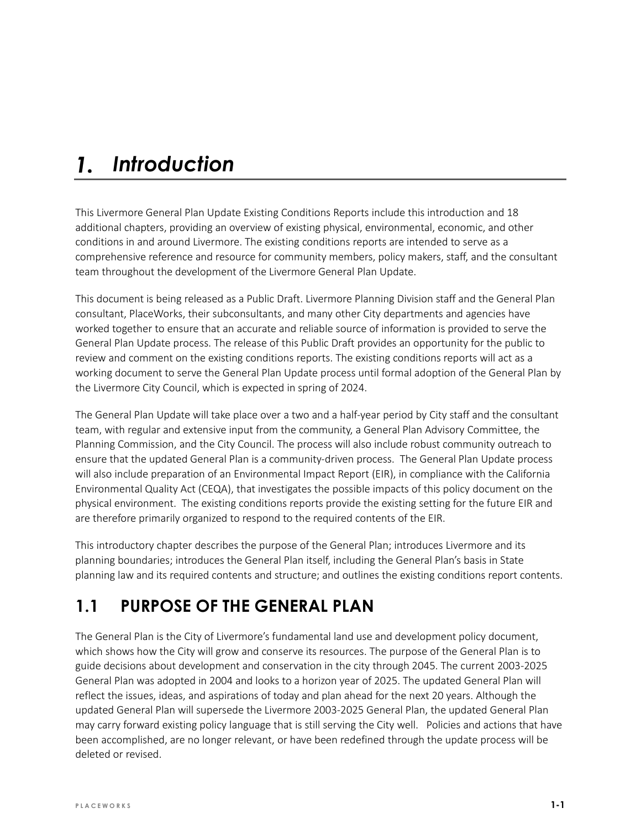#### *Introduction*  $\mathbf{1}$ .

This Livermore General Plan Update Existing Conditions Reports include this introduction and 18 additional chapters, providing an overview of existing physical, environmental, economic, and other conditions in and around Livermore. The existing conditions reports are intended to serve as a comprehensive reference and resource for community members, policy makers, staff, and the consultant team throughout the development of the Livermore General Plan Update.

This document is being released as a Public Draft. Livermore Planning Division staff and the General Plan consultant, PlaceWorks, their subconsultants, and many other City departments and agencies have worked together to ensure that an accurate and reliable source of information is provided to serve the General Plan Update process. The release of this Public Draft provides an opportunity for the public to review and comment on the existing conditions reports. The existing conditions reports will act as a working document to serve the General Plan Update process until formal adoption of the General Plan by the Livermore City Council, which is expected in spring of 2024.

The General Plan Update will take place over a two and a half-year period by City staff and the consultant team, with regular and extensive input from the community, a General Plan Advisory Committee, the Planning Commission, and the City Council. The process will also include robust community outreach to ensure that the updated General Plan is a community-driven process. The General Plan Update process will also include preparation of an Environmental Impact Report (EIR), in compliance with the California Environmental Quality Act (CEQA), that investigates the possible impacts of this policy document on the physical environment. The existing conditions reports provide the existing setting for the future EIR and are therefore primarily organized to respond to the required contents of the EIR.

This introductory chapter describes the purpose of the General Plan; introduces Livermore and its planning boundaries; introduces the General Plan itself, including the General Plan's basis in State planning law and its required contents and structure; and outlines the existing conditions report contents.

## **1.1 PURPOSE OF THE GENERAL PLAN**

The General Plan is the City of Livermore's fundamental land use and development policy document, which shows how the City will grow and conserve its resources. The purpose of the General Plan is to guide decisions about development and conservation in the city through 2045. The current 2003-2025 General Plan was adopted in 2004 and looks to a horizon year of 2025. The updated General Plan will reflect the issues, ideas, and aspirations of today and plan ahead for the next 20 years. Although the updated General Plan will supersede the Livermore 2003-2025 General Plan, the updated General Plan may carry forward existing policy language that is still serving the City well. Policies and actions that have been accomplished, are no longer relevant, or have been redefined through the update process will be deleted or revised.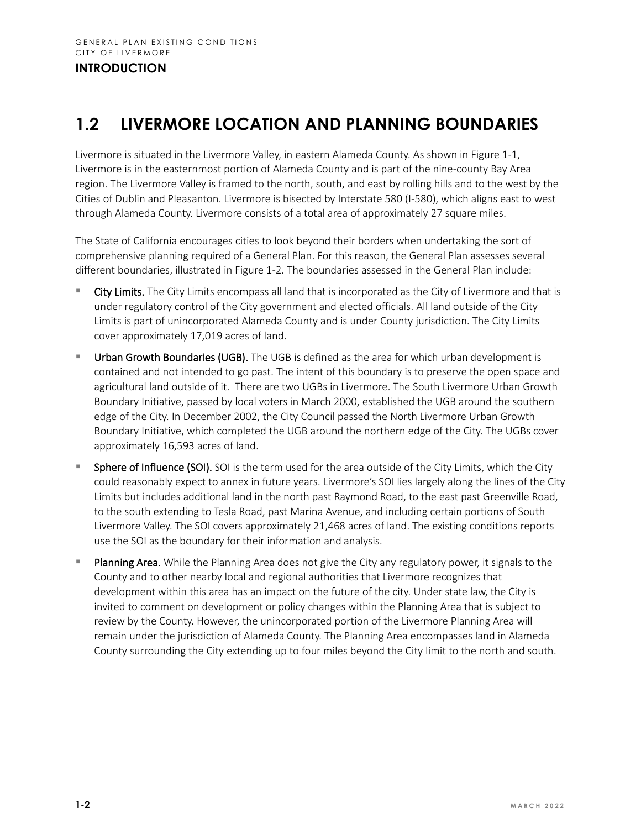## **1.2 LIVERMORE LOCATION AND PLANNING BOUNDARIES**

Livermore is situated in the Livermore Valley, in eastern Alameda County. As shown in Figure 1-1, Livermore is in the easternmost portion of Alameda County and is part of the nine-county Bay Area region. The Livermore Valley is framed to the north, south, and east by rolling hills and to the west by the Cities of Dublin and Pleasanton. Livermore is bisected by Interstate 580 (I-580), which aligns east to west through Alameda County. Livermore consists of a total area of approximately 27 square miles.

The State of California encourages cities to look beyond their borders when undertaking the sort of comprehensive planning required of a General Plan. For this reason, the General Plan assesses several different boundaries, illustrated in Figure 1-2. The boundaries assessed in the General Plan include:

- City Limits. The City Limits encompass all land that is incorporated as the City of Livermore and that is under regulatory control of the City government and elected officials. All land outside of the City Limits is part of unincorporated Alameda County and is under County jurisdiction. The City Limits cover approximately 17,019 acres of land.
- Urban Growth Boundaries (UGB). The UGB is defined as the area for which urban development is contained and not intended to go past. The intent of this boundary is to preserve the open space and agricultural land outside of it. There are two UGBs in Livermore. The South Livermore Urban Growth Boundary Initiative, passed by local voters in March 2000, established the UGB around the southern edge of the City. In December 2002, the City Council passed the North Livermore Urban Growth Boundary Initiative, which completed the UGB around the northern edge of the City. The UGBs cover approximately 16,593 acres of land.
- Sphere of Influence (SOI). SOI is the term used for the area outside of the City Limits, which the City could reasonably expect to annex in future years. Livermore's SOI lies largely along the lines of the City Limits but includes additional land in the north past Raymond Road, to the east past Greenville Road, to the south extending to Tesla Road, past Marina Avenue, and including certain portions of South Livermore Valley. The SOI covers approximately 21,468 acres of land. The existing conditions reports use the SOI as the boundary for their information and analysis.
- Planning Area. While the Planning Area does not give the City any regulatory power, it signals to the County and to other nearby local and regional authorities that Livermore recognizes that development within this area has an impact on the future of the city. Under state law, the City is invited to comment on development or policy changes within the Planning Area that is subject to review by the County. However, the unincorporated portion of the Livermore Planning Area will remain under the jurisdiction of Alameda County. The Planning Area encompasses land in Alameda County surrounding the City extending up to four miles beyond the City limit to the north and south.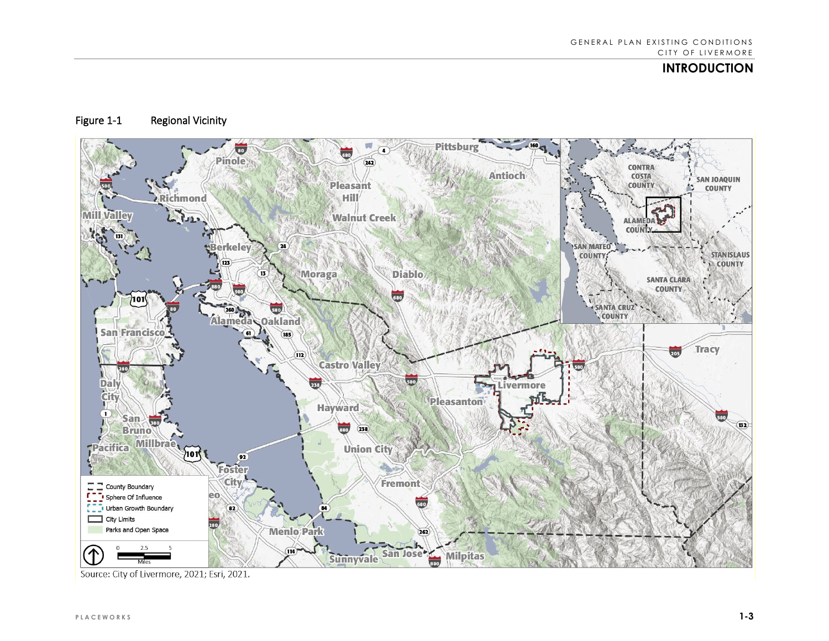#### Figure 1-1 Regional Vicinity



Source: City of Livermore, 2021; Esri, 2021.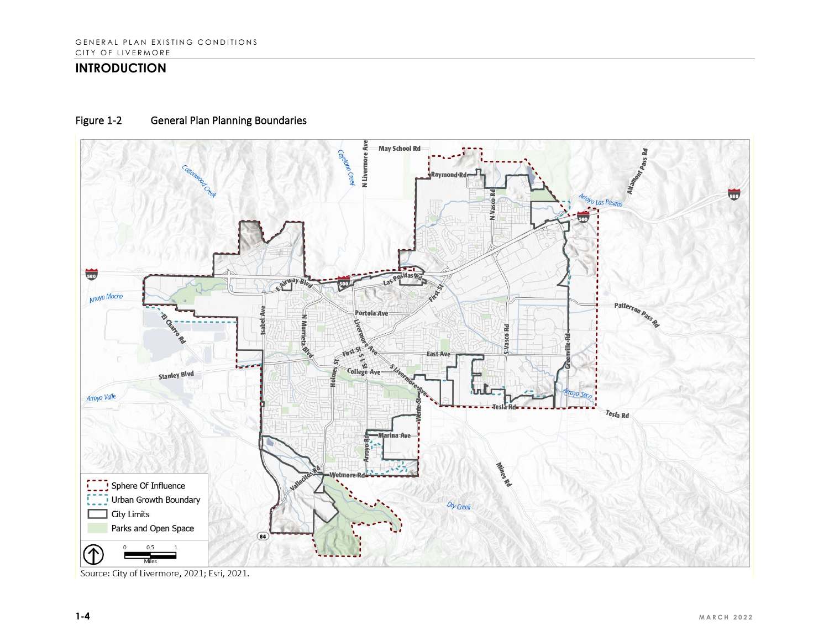#### Figure 1-2 General Plan Planning Boundaries



Source: City of Livermore, 2021; Esri, 2021.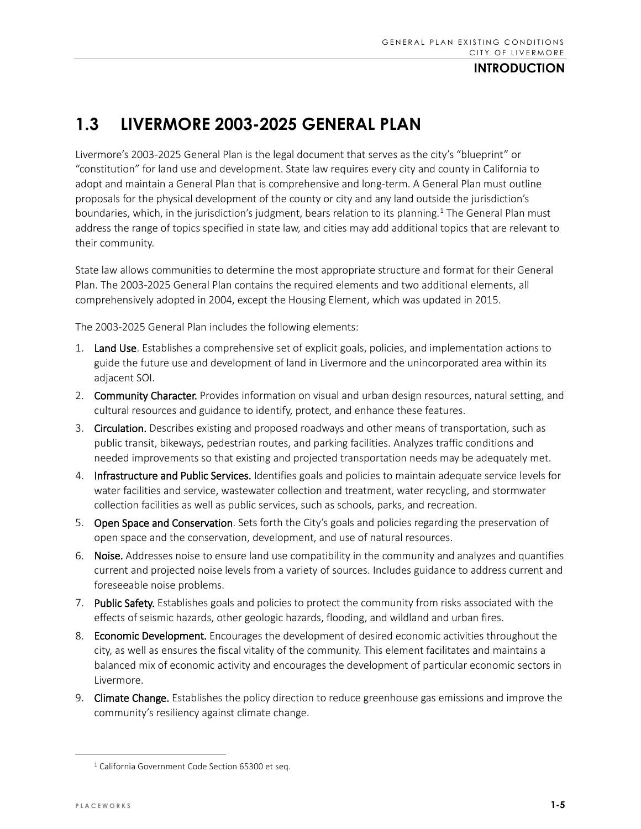## **1.3 LIVERMORE 2003-2025 GENERAL PLAN**

Livermore's 2003-2025 General Plan is the legal document that serves as the city's "blueprint" or "constitution" for land use and development. State law requires every city and county in California to adopt and maintain a General Plan that is comprehensive and long-term. A General Plan must outline proposals for the physical development of the county or city and any land outside the jurisdiction's boundaries, which, in the jurisdiction's judgment, bears relation to its planning.<sup>1</sup> The General Plan must address the range of topics specified in state law, and cities may add additional topics that are relevant to their community.

State law allows communities to determine the most appropriate structure and format for their General Plan. The 2003-2025 General Plan contains the required elements and two additional elements, all comprehensively adopted in 2004, except the Housing Element, which was updated in 2015.

The 2003-2025 General Plan includes the following elements:

- 1. Land Use. Establishes a comprehensive set of explicit goals, policies, and implementation actions to guide the future use and development of land in Livermore and the unincorporated area within its adjacent SOI.
- 2. Community Character. Provides information on visual and urban design resources, natural setting, and cultural resources and guidance to identify, protect, and enhance these features.
- 3. Circulation. Describes existing and proposed roadways and other means of transportation, such as public transit, bikeways, pedestrian routes, and parking facilities. Analyzes traffic conditions and needed improvements so that existing and projected transportation needs may be adequately met.
- 4. Infrastructure and Public Services. Identifies goals and policies to maintain adequate service levels for water facilities and service, wastewater collection and treatment, water recycling, and stormwater collection facilities as well as public services, such as schools, parks, and recreation.
- 5. Open Space and Conservation. Sets forth the City's goals and policies regarding the preservation of open space and the conservation, development, and use of natural resources.
- 6. Noise. Addresses noise to ensure land use compatibility in the community and analyzes and quantifies current and projected noise levels from a variety of sources. Includes guidance to address current and foreseeable noise problems.
- 7. Public Safety. Establishes goals and policies to protect the community from risks associated with the effects of seismic hazards, other geologic hazards, flooding, and wildland and urban fires.
- 8. Economic Development. Encourages the development of desired economic activities throughout the city, as well as ensures the fiscal vitality of the community. This element facilitates and maintains a balanced mix of economic activity and encourages the development of particular economic sectors in Livermore.
- 9. Climate Change. Establishes the policy direction to reduce greenhouse gas emissions and improve the community's resiliency against climate change.

<span id="page-4-0"></span><sup>&</sup>lt;sup>1</sup> California Government Code Section 65300 et seq.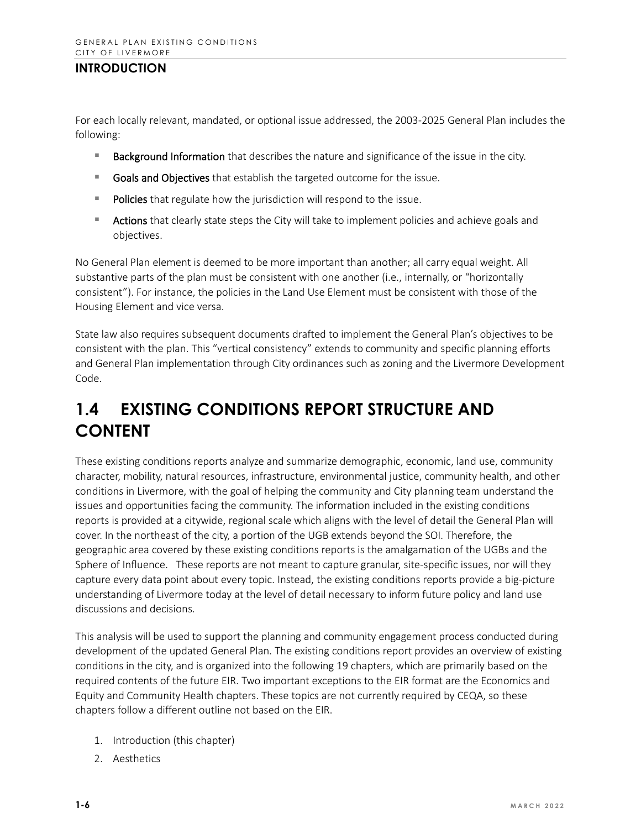For each locally relevant, mandated, or optional issue addressed, the 2003-2025 General Plan includes the following:

- **Background Information** that describes the nature and significance of the issue in the city.
- Goals and Objectives that establish the targeted outcome for the issue.
- Policies that regulate how the jurisdiction will respond to the issue.
- **EXTER Actions** that clearly state steps the City will take to implement policies and achieve goals and objectives.

No General Plan element is deemed to be more important than another; all carry equal weight. All substantive parts of the plan must be consistent with one another (i.e., internally, or "horizontally consistent"). For instance, the policies in the Land Use Element must be consistent with those of the Housing Element and vice versa.

State law also requires subsequent documents drafted to implement the General Plan's objectives to be consistent with the plan. This "vertical consistency" extends to community and specific planning efforts and General Plan implementation through City ordinances such as zoning and the Livermore Development Code.

# **1.4 EXISTING CONDITIONS REPORT STRUCTURE AND CONTENT**

These existing conditions reports analyze and summarize demographic, economic, land use, community character, mobility, natural resources, infrastructure, environmental justice, community health, and other conditions in Livermore, with the goal of helping the community and City planning team understand the issues and opportunities facing the community. The information included in the existing conditions reports is provided at a citywide, regional scale which aligns with the level of detail the General Plan will cover. In the northeast of the city, a portion of the UGB extends beyond the SOI. Therefore, the geographic area covered by these existing conditions reports is the amalgamation of the UGBs and the Sphere of Influence. These reports are not meant to capture granular, site-specific issues, nor will they capture every data point about every topic. Instead, the existing conditions reports provide a big-picture understanding of Livermore today at the level of detail necessary to inform future policy and land use discussions and decisions.

This analysis will be used to support the planning and community engagement process conducted during development of the updated General Plan. The existing conditions report provides an overview of existing conditions in the city, and is organized into the following 19 chapters, which are primarily based on the required contents of the future EIR. Two important exceptions to the EIR format are the Economics and Equity and Community Health chapters. These topics are not currently required by CEQA, so these chapters follow a different outline not based on the EIR.

- 1. Introduction (this chapter)
- 2. Aesthetics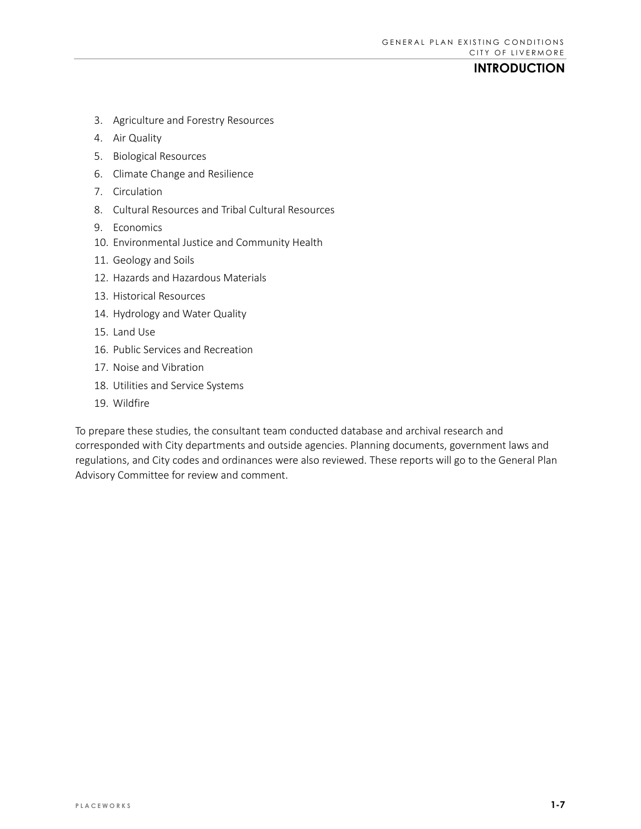- 3. Agriculture and Forestry Resources
- 4. Air Quality
- 5. Biological Resources
- 6. Climate Change and Resilience
- 7. Circulation
- 8. Cultural Resources and Tribal Cultural Resources
- 9. Economics
- 10. Environmental Justice and Community Health
- 11. Geology and Soils
- 12. Hazards and Hazardous Materials
- 13. Historical Resources
- 14. Hydrology and Water Quality
- 15. Land Use
- 16. Public Services and Recreation
- 17. Noise and Vibration
- 18. Utilities and Service Systems
- 19. Wildfire

To prepare these studies, the consultant team conducted database and archival research and corresponded with City departments and outside agencies. Planning documents, government laws and regulations, and City codes and ordinances were also reviewed. These reports will go to the General Plan Advisory Committee for review and comment.